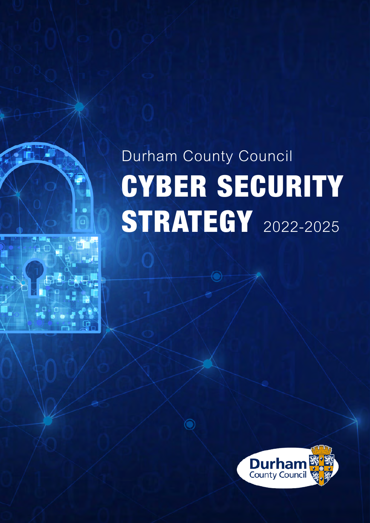# Durham County Council CYBER SECURITY **STRATEGY** 2022-2025

 $\widehat{\mathbf{O}}$ 

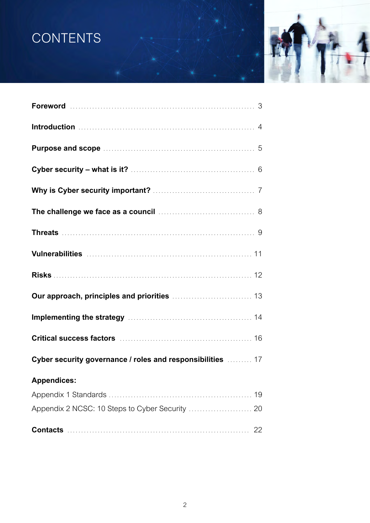# **CONTENTS**



| Purpose and scope manufactured and scope of the substitution of 5                                                 |    |
|-------------------------------------------------------------------------------------------------------------------|----|
|                                                                                                                   |    |
|                                                                                                                   |    |
| The challenge we face as a council <b>container and allenge we face as a council</b> contained and allenge of $8$ |    |
|                                                                                                                   |    |
|                                                                                                                   |    |
|                                                                                                                   |    |
|                                                                                                                   |    |
| Implementing the strategy manufactured and the 14                                                                 |    |
|                                                                                                                   |    |
| Cyber security governance / roles and responsibilities  17                                                        |    |
| <b>Appendices:</b> Appendices:                                                                                    |    |
|                                                                                                                   | 19 |
| Appendix 2 NCSC: 10 Steps to Cyber Security  20                                                                   |    |
|                                                                                                                   |    |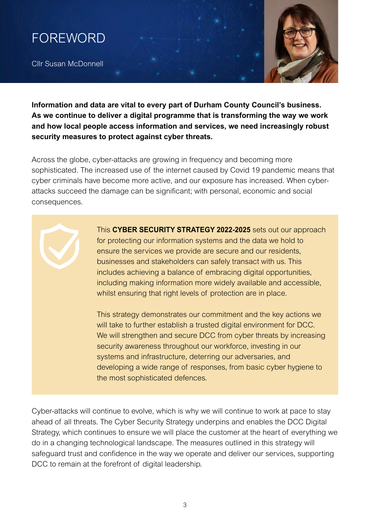<span id="page-2-0"></span>

Cllr Susan McDonnell

**Information and data are vital to every part of Durham County Council's business. As we continue to deliver a digital programme that is transforming the way we work and how local people access information and services, we need increasingly robust security measures to protect against cyber threats.**

Across the globe, cyber-attacks are growing in frequency and becoming more sophisticated. The increased use of the internet caused by Covid 19 pandemic means that cyber criminals have become more active, and our exposure has increased. When cyberattacks succeed the damage can be significant; with personal, economic and social consequences.

> This **CYBER SECURITY STRATEGY 2022-2025** sets out our approach for protecting our information systems and the data we hold to ensure the services we provide are secure and our residents, businesses and stakeholders can safely transact with us. This includes achieving a balance of embracing digital opportunities, including making information more widely available and accessible, whilst ensuring that right levels of protection are in place.

> This strategy demonstrates our commitment and the key actions we will take to further establish a trusted digital environment for DCC. We will strengthen and secure DCC from cyber threats by increasing security awareness throughout our workforce, investing in our systems and infrastructure, deterring our adversaries, and developing a wide range of responses, from basic cyber hygiene to the most sophisticated defences.

Cyber-attacks will continue to evolve, which is why we will continue to work at pace to stay ahead of all threats. The Cyber Security Strategy underpins and enables the DCC Digital Strategy, which continues to ensure we will place the customer at the heart of everything we do in a changing technological landscape. The measures outlined in this strategy will safeguard trust and confidence in the way we operate and deliver our services, supporting DCC to remain at the forefront of digital leadership.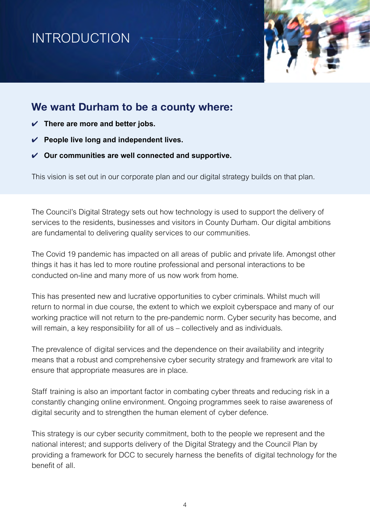# <span id="page-3-0"></span>INTRODUCTION



### **We want Durham to be a county where:**

- ✔ **There are more and better jobs.**
- ✔ **People live long and independent lives.**
- ✔ **Our communities are well connected and supportive.**

This vision is set out in our corporate plan and our digital strategy builds on that plan.

The Council's Digital Strategy sets out how technology is used to support the delivery of services to the residents, businesses and visitors in County Durham. Our digital ambitions are fundamental to delivering quality services to our communities.

The Covid 19 pandemic has impacted on all areas of public and private life. Amongst other things it has it has led to more routine professional and personal interactions to be conducted on-line and many more of us now work from home.

This has presented new and lucrative opportunities to cyber criminals. Whilst much will return to normal in due course, the extent to which we exploit cyberspace and many of our working practice will not return to the pre-pandemic norm. Cyber security has become, and will remain, a key responsibility for all of us – collectively and as individuals.

The prevalence of digital services and the dependence on their availability and integrity means that a robust and comprehensive cyber security strategy and framework are vital to ensure that appropriate measures are in place.

Staff training is also an important factor in combating cyber threats and reducing risk in a constantly changing online environment. Ongoing programmes seek to raise awareness of digital security and to strengthen the human element of cyber defence.

This strategy is our cyber security commitment, both to the people we represent and the national interest; and supports delivery of the Digital Strategy and the Council Plan by providing a framework for DCC to securely harness the benefits of digital technology for the benefit of all.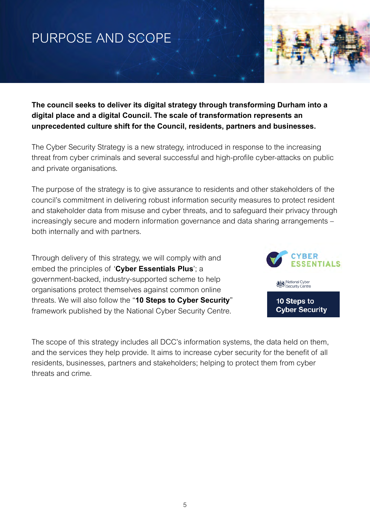# <span id="page-4-0"></span>PURPOSE AND SCOPE



**The council seeks to deliver its digital strategy through transforming Durham into a digital place and a digital Council. The scale of transformation represents an unprecedented culture shift for the Council, residents, partners and businesses.**

The Cyber Security Strategy is a new strategy, introduced in response to the increasing threat from cyber criminals and several successful and high-profile cyber-attacks on public and private organisations.

The purpose of the strategy is to give assurance to residents and other stakeholders of the council's commitment in delivering robust information security measures to protect resident and stakeholder data from misuse and cyber threats, and to safeguard their privacy through increasingly secure and modern information governance and data sharing arrangements – both internally and with partners.

Through delivery of this strategy, we will comply with and embed the principles of '**Cyber Essentials Plus**'; a government-backed, industry-supported scheme to help organisations protect themselves against common online threats. We will also follow the "**10 Steps to Cyber Security**" framework published by the National Cyber Security Centre.



The scope of this strategy includes all DCC's information systems, the data held on them, and the services they help provide. It aims to increase cyber security for the benefit of all residents, businesses, partners and stakeholders; helping to protect them from cyber threats and crime.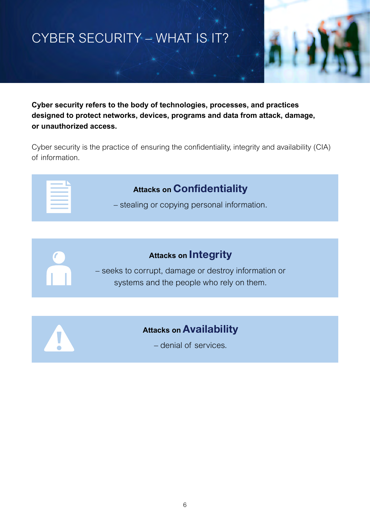# <span id="page-5-0"></span>CYBER SECURITY – WHAT IS IT?



**Cyber security refers to the body of technologies, processes, and practices designed to protect networks, devices, programs and data from attack, damage, or unauthorized access.**

Cyber security is the practice of ensuring the confidentiality, integrity and availability (CIA) of information.

| the control of the control of the<br>$\mathcal{L}^{\text{max}}_{\text{max}}$ and $\mathcal{L}^{\text{max}}_{\text{max}}$ and $\mathcal{L}^{\text{max}}_{\text{max}}$ |
|----------------------------------------------------------------------------------------------------------------------------------------------------------------------|
|                                                                                                                                                                      |
|                                                                                                                                                                      |
| the control of the control of the control of                                                                                                                         |

## **Attacks on Confidentiality**

– stealing or copying personal information.



– seeks to corrupt, damage or destroy information or systems and the people who rely on them.

### **Attacks on Availability**

– denial of services.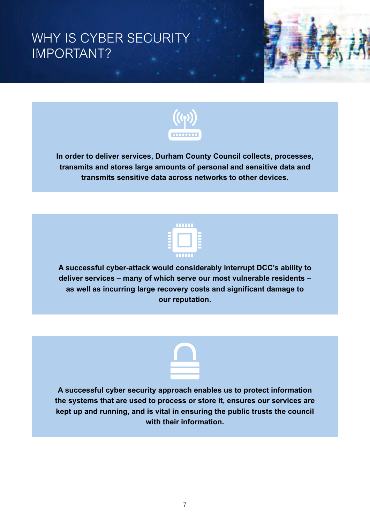# <span id="page-6-0"></span>WHY IS CYBER SECURITY IMPORTANT?





**In order to deliver services, Durham County Council collects, processes, transmits and stores large amounts of personal and sensitive data and transmits sensitive data across networks to other devices.**



**A successful cyber-attack would considerably interrupt DCC's ability to deliver services – many of which serve our most vulnerable residents – as well as incurring large recovery costs and significant damage to our reputation.**



**A successful cyber security approach enables us to protect information the systems that are used to process or store it, ensures our services are kept up and running, and is vital in ensuring the public trusts the council with their information.**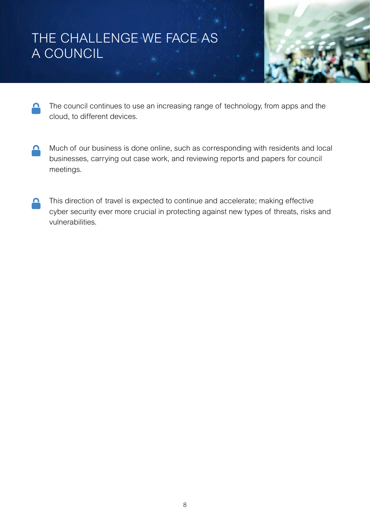# <span id="page-7-0"></span>THE CHALLENGE WE FACE AS A COUNCIL



- The council continues to use an increasing range of technology, from apps and the  $\mathbf{\Omega}$ cloud, to different devices.
- Much of our business is done online, such as corresponding with residents and local <u>д</u> businesses, carrying out case work, and reviewing reports and papers for council meetings.
- This direction of travel is expected to continue and accelerate; making effective ∩ cyber security ever more crucial in protecting against new types of threats, risks and vulnerabilities.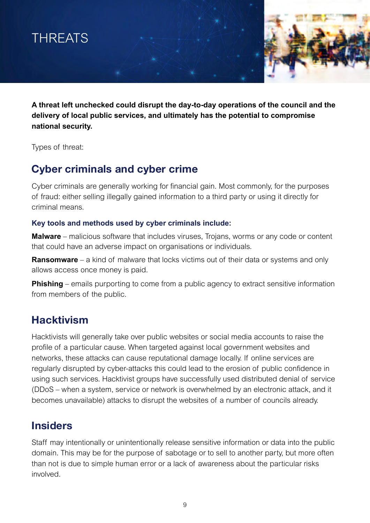<span id="page-8-0"></span>



**A threat left unchecked could disrupt the day-to-day operations of the council and the delivery of local public services, and ultimately has the potential to compromise national security.**

Types of threat:

### **Cyber criminals and cyber crime**

Cyber criminals are generally working for financial gain. Most commonly, for the purposes of fraud: either selling illegally gained information to a third party or using it directly for criminal means.

#### **Key tools and methods used by cyber criminals include:**

**Malware** – malicious software that includes viruses, Trojans, worms or any code or content that could have an adverse impact on organisations or individuals.

**Ransomware** – a kind of malware that locks victims out of their data or systems and only allows access once money is paid.

**Phishing** – emails purporting to come from a public agency to extract sensitive information from members of the public.

### **Hacktivism**

Hacktivists will generally take over public websites or social media accounts to raise the profile of a particular cause. When targeted against local government websites and networks, these attacks can cause reputational damage locally. If online services are regularly disrupted by cyber-attacks this could lead to the erosion of public confidence in using such services. Hacktivist groups have successfully used distributed denial of service (DDoS – when a system, service or network is overwhelmed by an electronic attack, and it becomes unavailable) attacks to disrupt the websites of a number of councils already.

### **Insiders**

Staff may intentionally or unintentionally release sensitive information or data into the public domain. This may be for the purpose of sabotage or to sell to another party, but more often than not is due to simple human error or a lack of awareness about the particular risks involved.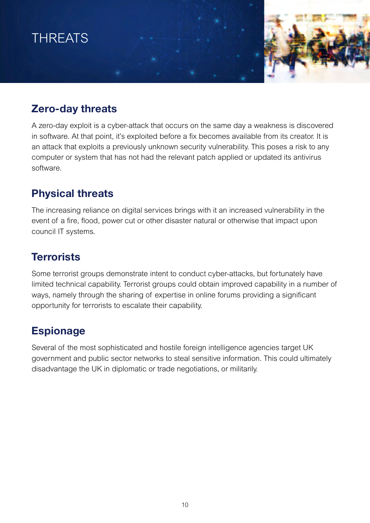# THREATS

### **Zero-day threats**

A zero-day exploit is a cyber-attack that occurs on the same day a weakness is discovered in software. At that point, it's exploited before a fix becomes available from its creator. It is an attack that exploits a previously unknown security vulnerability. This poses a risk to any computer or system that has not had the relevant patch applied or updated its antivirus software.

### **Physical threats**

The increasing reliance on digital services brings with it an increased vulnerability in the event of a fire, flood, power cut or other disaster natural or otherwise that impact upon council IT systems.

### **Terrorists**

Some terrorist groups demonstrate intent to conduct cyber-attacks, but fortunately have limited technical capability. Terrorist groups could obtain improved capability in a number of ways, namely through the sharing of expertise in online forums providing a significant opportunity for terrorists to escalate their capability.

### **Espionage**

Several of the most sophisticated and hostile foreign intelligence agencies target UK government and public sector networks to steal sensitive information. This could ultimately disadvantage the UK in diplomatic or trade negotiations, or militarily.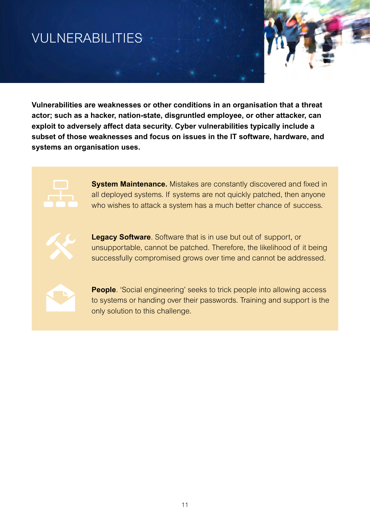# <span id="page-10-0"></span>VULNERABILITIES



**Vulnerabilities are weaknesses or other conditions in an organisation that a threat actor; such as a hacker, nation-state, disgruntled employee, or other attacker, can exploit to adversely affect data security. Cyber vulnerabilities typically include a subset of those weaknesses and focus on issues in the IT software, hardware, and systems an organisation uses.**



**System Maintenance.** Mistakes are constantly discovered and fixed in all deployed systems. If systems are not quickly patched, then anyone who wishes to attack a system has a much better chance of success.



**Legacy Software**. Software that is in use but out of support, or unsupportable, cannot be patched. Therefore, the likelihood of it being successfully compromised grows over time and cannot be addressed.



**People**. 'Social engineering' seeks to trick people into allowing access to systems or handing over their passwords. Training and support is the only solution to this challenge.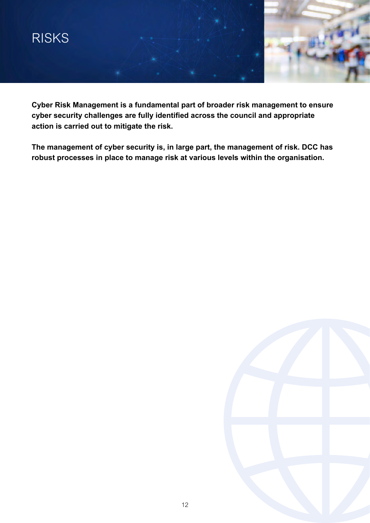<span id="page-11-0"></span>

**Cyber Risk Management is a fundamental part of broader risk management to ensure cyber security challenges are fully identified across the council and appropriate action is carried out to mitigate the risk.**

**The management of cyber security is, in large part, the management of risk. DCC has robust processes in place to manage risk at various levels within the organisation.**

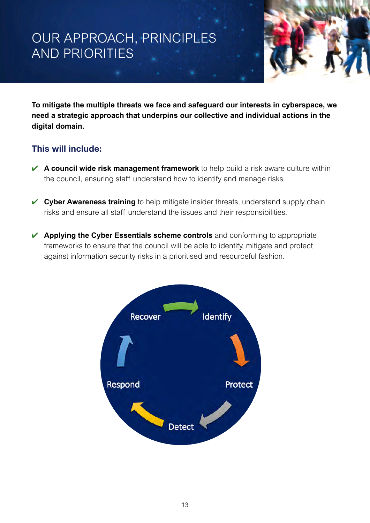# <span id="page-12-0"></span>OUR APPROACH, PRINCIPLES AND PRIORITIES



**To mitigate the multiple threats we face and safeguard our interests in cyberspace, we need a strategic approach that underpins our collective and individual actions in the digital domain.**

#### **This will include:**

- **★ A council wide risk management framework** to help build a risk aware culture within the council, ensuring staff understand how to identify and manage risks.
- ✔ **Cyber Awareness training** to help mitigate insider threats, understand supply chain risks and ensure all staff understand the issues and their responsibilities.
- ✔ **Applying the Cyber Essentials scheme controls** and conforming to appropriate frameworks to ensure that the council will be able to identify, mitigate and protect against information security risks in a prioritised and resourceful fashion.

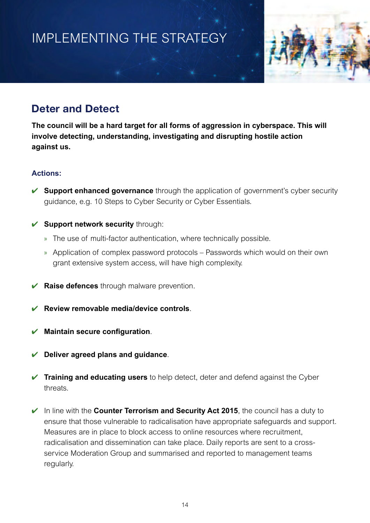# <span id="page-13-0"></span>IMPLEMENTING THE STRATEGY



### **Deter and Detect**

**The council will be a hard target for all forms of aggression in cyberspace. This will involve detecting, understanding, investigating and disrupting hostile action against us.**

#### **Actions:**

- **► Support enhanced governance** through the application of government's cyber security guidance, e.g. 10 Steps to Cyber Security or Cyber Essentials.
- ✔ **Support network security** through:
	- » The use of multi-factor authentication, where technically possible.
	- » Application of complex password protocols Passwords which would on their own grant extensive system access, will have high complexity.
- ✔ **Raise defences** through malware prevention.
- ✔ **Review removable media/device controls**.
- ✔ **Maintain secure configuration**.
- ✔ **Deliver agreed plans and guidance**.
- ✔ **Training and educating users** to help detect, deter and defend against the Cyber threats.
- ✔ In line with the **Counter Terrorism and Security Act 2015**, the council has a duty to ensure that those vulnerable to radicalisation have appropriate safeguards and support. Measures are in place to block access to online resources where recruitment, radicalisation and dissemination can take place. Daily reports are sent to a crossservice Moderation Group and summarised and reported to management teams regularly.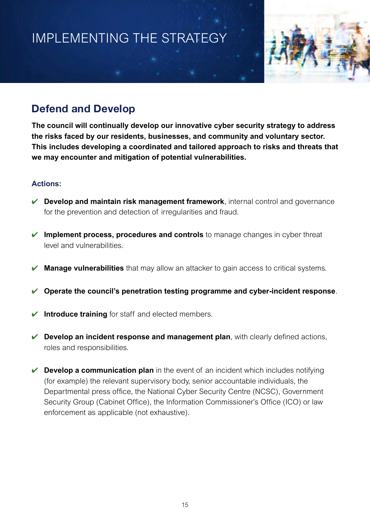# <span id="page-14-0"></span>IMPLEMENTING THE STRATEGY



### **Defend and Develop**

**The council will continually develop our innovative cyber security strategy to address the risks faced by our residents, businesses, and community and voluntary sector. This includes developing a coordinated and tailored approach to risks and threats that we may encounter and mitigation of potential vulnerabilities.**

#### **Actions:**

- ✔ **Develop and maintain risk management framework**, internal control and governance for the prevention and detection of irregularities and fraud.
- ✔ **Implement process, procedures and controls** to manage changes in cyber threat level and vulnerabilities.
- **Manage vulnerabilities** that may allow an attacker to gain access to critical systems.
- ✔ **Operate the council's penetration testing programme and cyber-incident response**.
- **► Introduce training** for staff and elected members.
- **► Develop an incident response and management plan**, with clearly defined actions, roles and responsibilities.
- **► Develop a communication plan** in the event of an incident which includes notifying (for example) the relevant supervisory body, senior accountable individuals, the Departmental press office, the National Cyber Security Centre (NCSC), Government Security Group (Cabinet Office), the Information Commissioner's Office (ICO) or law enforcement as applicable (not exhaustive).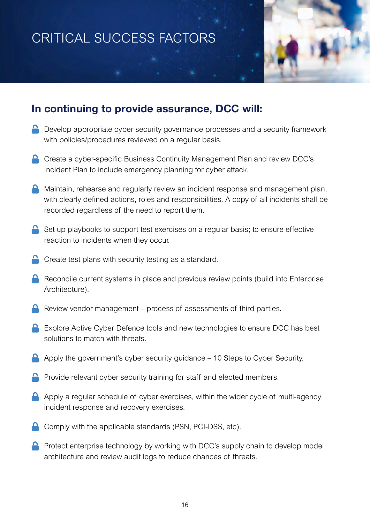# CRITICAL SUCCESS FACTORS



### **In continuing to provide assurance, DCC will:**

- **D** Develop appropriate cyber security governance processes and a security framework with policies/procedures reviewed on a regular basis.
- **C** Create a cyber-specific Business Continuity Management Plan and review DCC's Incident Plan to include emergency planning for cyber attack.
- $\bigcap$  Maintain, rehearse and regularly review an incident response and management plan, with clearly defined actions, roles and responsibilities. A copy of all incidents shall be recorded regardless of the need to report them.
- $\bigcap$  Set up playbooks to support test exercises on a regular basis; to ensure effective reaction to incidents when they occur.
- Create test plans with security testing as a standard.
- Reconcile current systems in place and previous review points (build into Enterprise Architecture).
- Review vendor management process of assessments of third parties.
- **EXPLORE Active Cyber Defence tools and new technologies to ensure DCC has best** solutions to match with threats.
- Apply the government's cyber security guidance 10 Steps to Cyber Security.
- Provide relevant cyber security training for staff and elected members.
- $\bigcap$  Apply a regular schedule of cyber exercises, within the wider cycle of multi-agency incident response and recovery exercises.
- Comply with the applicable standards (PSN, PCI-DSS, etc).
- **P** Protect enterprise technology by working with DCC's supply chain to develop model architecture and review audit logs to reduce chances of threats.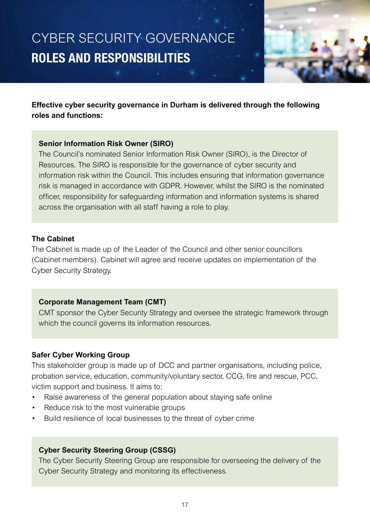# <span id="page-16-0"></span>CYBER SECURITY GOVERNANCE **ROLES AND RESPONSIBILITIES**



**Effective cyber security governance in Durham is delivered through the following roles and functions:**

#### **Senior Information Risk Owner (SIRO)**

The Council's nominated Senior Information Risk Owner (SIRO), is the Director of Resources. The SIRO is responsible for the governance of cyber security and information risk within the Council. This includes ensuring that information governance risk is managed in accordance with GDPR. However, whilst the SIRO is the nominated officer, responsibility for safeguarding information and information systems is shared across the organisation with all staff having a role to play.

#### **The Cabinet**

The Cabinet is made up of the Leader of the Council and other senior councillors (Cabinet members). Cabinet will agree and receive updates on implementation of the Cyber Security Strategy.

#### **Corporate Management Team (CMT)**

CMT sponsor the Cyber Security Strategy and oversee the strategic framework through which the council governs its information resources.

#### **Safer Cyber Working Group**

This stakeholder group is made up of DCC and partner organisations, including police, probation service, education, community/voluntary sector, CCG, fire and rescue, PCC, victim support and business. It aims to:

- Raise awareness of the general population about staying safe online
- Reduce risk to the most vulnerable groups
- Build resilience of local businesses to the threat of cyber crime

#### **Cyber Security Steering Group (CSSG)**

The Cyber Security Steering Group are responsible for overseeing the delivery of the Cyber Security Strategy and monitoring its effectiveness.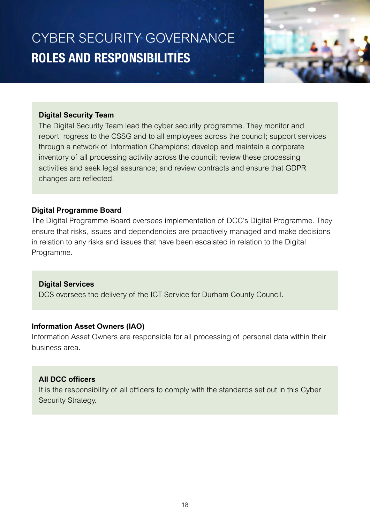CYBER SECURITY GOVERNANCE **ROLES AND RESPONSIBILITIES**



#### **Digital Security Team**

The Digital Security Team lead the cyber security programme. They monitor and report rogress to the CSSG and to all employees across the council; support services through a network of Information Champions; develop and maintain a corporate inventory of all processing activity across the council; review these processing activities and seek legal assurance; and review contracts and ensure that GDPR changes are reflected.

#### **Digital Programme Board**

The Digital Programme Board oversees implementation of DCC's Digital Programme. They ensure that risks, issues and dependencies are proactively managed and make decisions in relation to any risks and issues that have been escalated in relation to the Digital Programme.

#### **Digital Services**

DCS oversees the delivery of the ICT Service for Durham County Council.

#### **Information Asset Owners (IAO)**

Information Asset Owners are responsible for all processing of personal data within their business area.

#### **All DCC officers**

It is the responsibility of all officers to comply with the standards set out in this Cyber Security Strategy.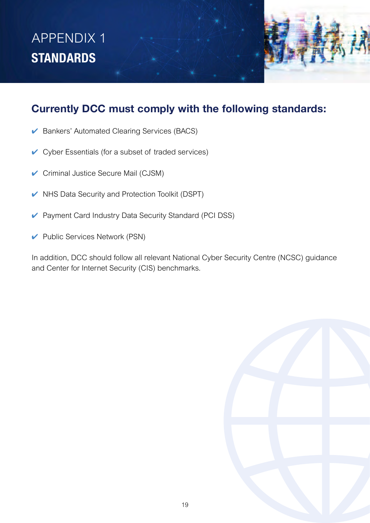# <span id="page-18-0"></span>APPENDIX 1 **STANDARDS**



- ✔ Bankers' Automated Clearing Services (BACS)
- $\vee$  Cyber Essentials (for a subset of traded services)
- ✔ Criminal Justice Secure Mail (CJSM)
- $\vee$  NHS Data Security and Protection Toolkit (DSPT)
- ✔ Payment Card Industry Data Security Standard (PCI DSS)
- ✔ Public Services Network (PSN)

In addition, DCC should follow all relevant National Cyber Security Centre (NCSC) guidance and Center for Internet Security (CIS) benchmarks.

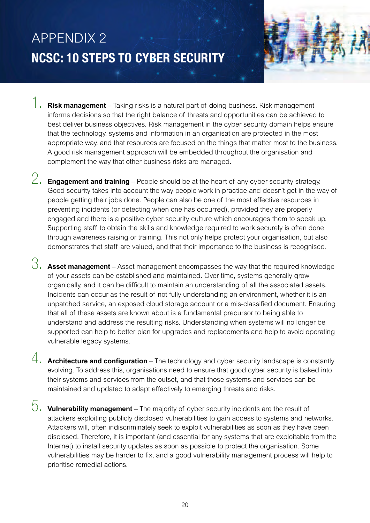# <span id="page-19-0"></span>APPENDIX 2 **NCSC: 10 STEPS TO CYBER SECURITY**

- 
- 1. **Risk management** Taking risks is a natural part of doing business. Risk management informs decisions so that the right balance of threats and opportunities can be achieved to best deliver business objectives. Risk management in the cyber security domain helps ensure that the technology, systems and information in an organisation are protected in the most appropriate way, and that resources are focused on the things that matter most to the business. A good risk management approach will be embedded throughout the organisation and complement the way that other business risks are managed.
- 2. **Engagement and training** People should be at the heart of any cyber security strategy. Good security takes into account the way people work in practice and doesn't get in the way of people getting their jobs done. People can also be one of the most effective resources in preventing incidents (or detecting when one has occurred), provided they are properly engaged and there is a positive cyber security culture which encourages them to speak up. Supporting staff to obtain the skills and knowledge required to work securely is often done through awareness raising or training. This not only helps protect your organisation, but also demonstrates that staff are valued, and that their importance to the business is recognised.
- 3. **Asset management** Asset management encompasses the way that the required knowledge of your assets can be established and maintained. Over time, systems generally grow organically, and it can be difficult to maintain an understanding of all the associated assets. Incidents can occur as the result of not fully understanding an environment, whether it is an unpatched service, an exposed cloud storage account or a mis-classified document. Ensuring that all of these assets are known about is a fundamental precursor to being able to understand and address the resulting risks. Understanding when systems will no longer be supported can help to better plan for upgrades and replacements and help to avoid operating vulnerable legacy systems.
- 4. **Architecture and configuration** The technology and cyber security landscape is constantly evolving. To address this, organisations need to ensure that good cyber security is baked into their systems and services from the outset, and that those systems and services can be maintained and updated to adapt effectively to emerging threats and risks.
- 5. **Vulnerability management** The majority of cyber security incidents are the result of attackers exploiting publicly disclosed vulnerabilities to gain access to systems and networks. Attackers will, often indiscriminately seek to exploit vulnerabilities as soon as they have been disclosed. Therefore, it is important (and essential for any systems that are exploitable from the Internet) to install security updates as soon as possible to protect the organisation. Some vulnerabilities may be harder to fix, and a good vulnerability management process will help to prioritise remedial actions.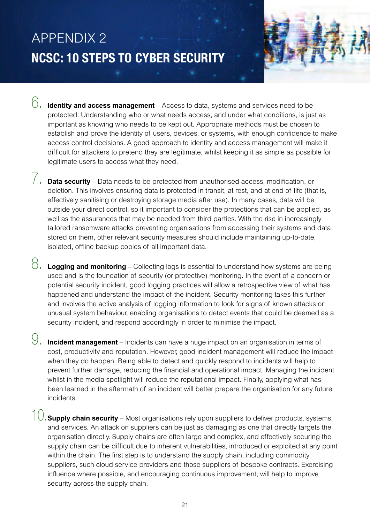# APPENDIX 2 **NCSC: 10 STEPS TO CYBER SECURITY**

- 
- 6. **Identity and access management** Access to data, systems and services need to be protected. Understanding who or what needs access, and under what conditions, is just as important as knowing who needs to be kept out. Appropriate methods must be chosen to establish and prove the identity of users, devices, or systems, with enough confidence to make access control decisions. A good approach to identity and access management will make it difficult for attackers to pretend they are legitimate, whilst keeping it as simple as possible for legitimate users to access what they need.
- 7. **Data security** Data needs to be protected from unauthorised access, modification, or deletion. This involves ensuring data is protected in transit, at rest, and at end of life (that is, effectively sanitising or destroying storage media after use). In many cases, data will be outside your direct control, so it important to consider the protections that can be applied, as well as the assurances that may be needed from third parties. With the rise in increasingly tailored ransomware attacks preventing organisations from accessing their systems and data stored on them, other relevant security measures should include maintaining up-to-date, isolated, offline backup copies of all important data.
- 8. **Logging and monitoring** Collecting logs is essential to understand how systems are being used and is the foundation of security (or protective) monitoring. In the event of a concern or potential security incident, good logging practices will allow a retrospective view of what has happened and understand the impact of the incident. Security monitoring takes this further and involves the active analysis of logging information to look for signs of known attacks or unusual system behaviour, enabling organisations to detect events that could be deemed as a security incident, and respond accordingly in order to minimise the impact.
- **Incident management** Incidents can have a huge impact on an organisation in terms of cost, productivity and reputation. However, good incident management will reduce the impact when they do happen. Being able to detect and quickly respond to incidents will help to prevent further damage, reducing the financial and operational impact. Managing the incident whilst in the media spotlight will reduce the reputational impact. Finally, applying what has been learned in the aftermath of an incident will better prepare the organisation for any future incidents.
- **Supply chain security** Most organisations rely upon suppliers to deliver products, systems, and services. An attack on suppliers can be just as damaging as one that directly targets the organisation directly. Supply chains are often large and complex, and effectively securing the supply chain can be difficult due to inherent vulnerabilities, introduced or exploited at any point within the chain. The first step is to understand the supply chain, including commodity suppliers, such cloud service providers and those suppliers of bespoke contracts. Exercising influence where possible, and encouraging continuous improvement, will help to improve security across the supply chain.